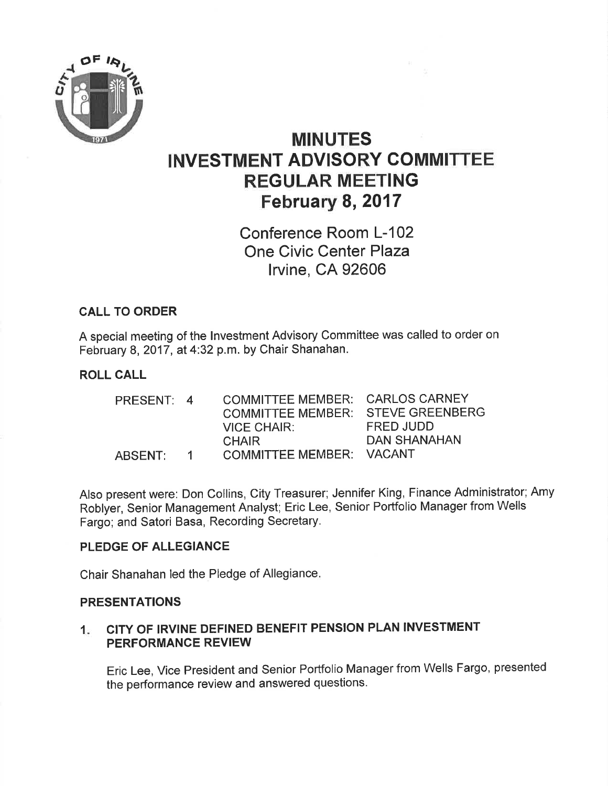

# MINUTES INVESTMENT ADVISORY COMMITTEE REGULAR MEETING February 8, 2017

Conference Room L-102 One Civic Center Plaza lrvine, CA 92606

### CALL TO ORDER

A special meeting of the lnvestment Advisory Committee was called to order on February 8, 2017 , at 4:32 p.m. by Chair Shanahan.

#### ROLL CALL

| PRESENT: 4 |          | COMMITTEE MEMBER: CARLOS CARNEY   |              |
|------------|----------|-----------------------------------|--------------|
|            |          | COMMITTEE MEMBER: STEVE GREENBERG |              |
|            |          | VICE CHAIR:                       | FRED JUDD    |
|            |          | <b>CHAIR</b>                      | DAN SHANAHAN |
| ABSENT:    | $\sim$ 1 | COMMITTEE MEMBER: VACANT          |              |

Also present were: Don Collins, City Treasurer; Jennifer King, Finance Administrator; Amy Roblyer, Senior Management Analyst; Eric Lee, Senior Portfolio Manager from Wells Fargo; and Satori Basa, Recording Secretary.

#### PLEDGE OF ALLEGIANCE

Chair Shanahan led the Pledge of Allegiance

#### PRESENTATIONS

#### CITY OF IRVINE DEFINED BENEFIT PENSION PLAN INVESTMENT PERFORMANCE REVIEW  $1<sub>1</sub>$

Eric Lee, Vice President and Senior Portfolio Manager from Wells Fargo, presented the performance review and answered questions.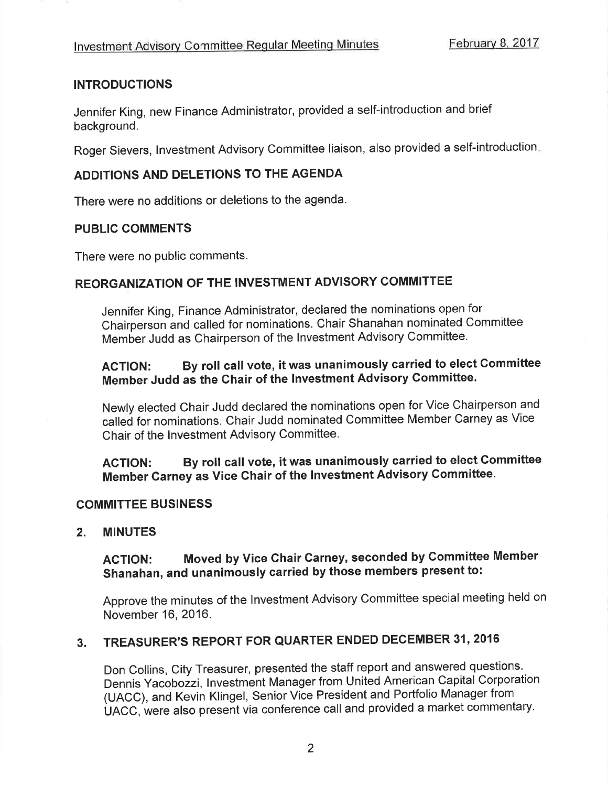#### **INTRODUCTIONS**

Jennifer King, new Finance Administrator, provided a self-introduction and brief background.

Roger Sievers, lnvestment Advisory Committee liaison, also provided a self-introduction

#### ADDITIONS AND DELETIONS TO THE AGENDA

There were no additions or deletions to the agenda.

#### PUBLIC GOMMENTS

There were no public comments.

### REORGANIZATION OF THE INVESTMENT ADVISORY COMMITTEE

Jennifer King, Finance Administrator, declared the nominations open for Chairperson and called for nominations. Chair Shanahan nominated Committee Member Judd as Chairperson of the lnvestment Advisory Committee.

# AGTION: By roll call vote, it was unanimously carried to elect Gommittee Member Judd as the Chair of the lnvestment Advisory Committee.

Newly elected Chair Judd declared the nominations open for Vice Chairperson and calleð for nominations, Chair Judd nominated Committee Member Carney as Vice Chair of the Investment Advisory Committee.

ACTION: By roll call vote, it was unanimously carried to elect Committee Member Carney as Vice Chair of the lnvestment Advisory Committee.

#### COMMITTEE BUSINESS

#### 2. MINUTES

# ACTION: Moved by Vice Chair Garney, seconded by Committee Member Shanahan, and unanimously carried by those members present to:

Approve the minutes of the lnvestment Advisory Committee special meeting held on November 16,2016.

# 3. TREASURER'S REPORT FOR QUARTER ENDED DECEMBER 31, 2016

Don Collins, City Treasurer, presented the staff report and answ\_ered questions. Dennis Yacobozzi, lnvestment Manager from United American Capital Corporation (UACC), and Kevin Klingel, Senior Vice President and Portfolio Manager from UACC, were also present via conference call and provided a market commentary.